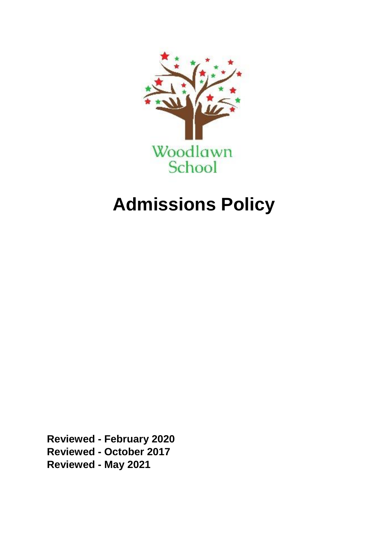

# **Admissions Policy**

**Reviewed - February 2020 Reviewed - October 2017 Reviewed - May 2021**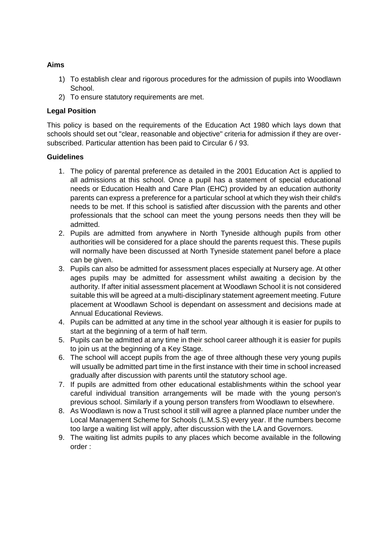#### **Aims**

- 1) To establish clear and rigorous procedures for the admission of pupils into Woodlawn School.
- 2) To ensure statutory requirements are met.

### **Legal Position**

This policy is based on the requirements of the Education Act 1980 which lays down that schools should set out "clear, reasonable and objective" criteria for admission if they are oversubscribed. Particular attention has been paid to Circular 6 / 93.

#### **Guidelines**

- 1. The policy of parental preference as detailed in the 2001 Education Act is applied to all admissions at this school. Once a pupil has a statement of special educational needs or Education Health and Care Plan (EHC) provided by an education authority parents can express a preference for a particular school at which they wish their child's needs to be met. If this school is satisfied after discussion with the parents and other professionals that the school can meet the young persons needs then they will be admitted.
- 2. Pupils are admitted from anywhere in North Tyneside although pupils from other authorities will be considered for a place should the parents request this. These pupils will normally have been discussed at North Tyneside statement panel before a place can be given.
- 3. Pupils can also be admitted for assessment places especially at Nursery age. At other ages pupils may be admitted for assessment whilst awaiting a decision by the authority. If after initial assessment placement at Woodlawn School it is not considered suitable this will be agreed at a multi-disciplinary statement agreement meeting. Future placement at Woodlawn School is dependant on assessment and decisions made at Annual Educational Reviews.
- 4. Pupils can be admitted at any time in the school year although it is easier for pupils to start at the beginning of a term of half term.
- 5. Pupils can be admitted at any time in their school career although it is easier for pupils to join us at the beginning of a Key Stage.
- 6. The school will accept pupils from the age of three although these very young pupils will usually be admitted part time in the first instance with their time in school increased gradually after discussion with parents until the statutory school age.
- 7. If pupils are admitted from other educational establishments within the school year careful individual transition arrangements will be made with the young person's previous school. Similarly if a young person transfers from Woodlawn to elsewhere.
- 8. As Woodlawn is now a Trust school it still will agree a planned place number under the Local Management Scheme for Schools (L.M.S.S) every year. If the numbers become too large a waiting list will apply, after discussion with the LA and Governors.
- 9. The waiting list admits pupils to any places which become available in the following order :